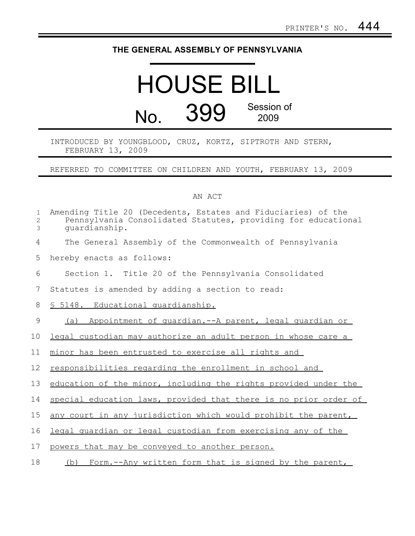## **THE GENERAL ASSEMBLY OF PENNSYLVANIA**

## HOUSE BILL No. 399 Session of 2009

## INTRODUCED BY YOUNGBLOOD, CRUZ, KORTZ, SIPTROTH AND STERN, FEBRUARY 13, 2009

REFERRED TO COMMITTEE ON CHILDREN AND YOUTH, FEBRUARY 13, 2009

## AN ACT

| $\mathbf 1$<br>$\overline{c}$<br>3 | Amending Title 20 (Decedents, Estates and Fiduciaries) of the<br>Pennsylvania Consolidated Statutes, providing for educational<br>quardianship. |
|------------------------------------|-------------------------------------------------------------------------------------------------------------------------------------------------|
| 4                                  | The General Assembly of the Commonwealth of Pennsylvania                                                                                        |
| 5                                  | hereby enacts as follows:                                                                                                                       |
| 6                                  | Section 1. Title 20 of the Pennsylvania Consolidated                                                                                            |
| 7                                  | Statutes is amended by adding a section to read:                                                                                                |
| 8                                  | § 5148. Educational quardianship.                                                                                                               |
| 9                                  | Appointment of guardian.--A parent, legal guardian or<br>(a)                                                                                    |
| 10                                 | legal custodian may authorize an adult person in whose care a                                                                                   |
| 11                                 | minor has been entrusted to exercise all rights and                                                                                             |
| 12                                 | responsibilities regarding the enrollment in school and                                                                                         |
| 13                                 | education of the minor, including the rights provided under the                                                                                 |
| 14                                 | special education laws, provided that there is no prior order of                                                                                |
| 15                                 | any court in any jurisdiction which would prohibit the parent,                                                                                  |
| 16                                 | legal quardian or legal custodian from exercising any of the                                                                                    |
| 17                                 | powers that may be conveyed to another person.                                                                                                  |
| 18                                 | Form.--Any written form that is signed by the parent,<br>(b)                                                                                    |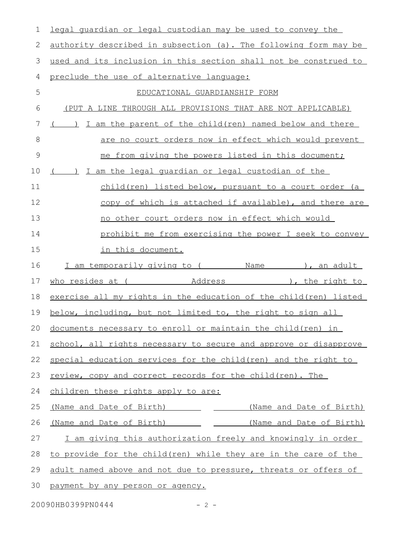| 1             | legal quardian or legal custodian may be used to convey the          |
|---------------|----------------------------------------------------------------------|
| 2             | authority described in subsection (a). The following form may be     |
| 3             | used and its inclusion in this section shall not be construed to     |
| 4             | preclude the use of alternative language:                            |
| 5             | EDUCATIONAL GUARDIANSHIP FORM                                        |
| 6             | (PUT A LINE THROUGH ALL PROVISIONS THAT ARE NOT APPLICABLE)          |
| 7             | I am the parent of the child (ren) named below and there<br>$($ )    |
| 8             | are no court orders now in effect which would prevent                |
| $\mathcal{G}$ | me from giving the powers listed in this document;                   |
| 10            | ) I am the legal quardian or legal custodian of the                  |
| 11            | child(ren) listed below, pursuant to a court order (a                |
| 12            | copy of which is attached if available), and there are               |
| 13            | no other court orders now in effect which would                      |
| 14            | prohibit me from exercising the power I seek to convey               |
| 15            | in this document.                                                    |
| 16            | I am temporarily giving to (Name Name Name ), an adult               |
| 17            |                                                                      |
| 18            | exercise all my rights in the education of the child (ren) listed    |
|               |                                                                      |
| 19            | below, including, but not limited to, the right to sign all          |
|               | 20 documents necessary to enroll or maintain the child (ren) in      |
| 21            | school, all rights necessary to secure and approve or disapprove     |
| 22            | special education services for the child (ren) and the right to      |
| 23            | review, copy and correct records for the child(ren). The             |
| 24            | children these rights apply to are:                                  |
| 25            | (Name and Date of Birth) __________ (Name and Date of Birth)         |
| 26            | (Name and Date of Birth) ____________ ______(Name and Date of Birth) |
| 27            | I am giving this authorization freely and knowingly in order         |
| 28            | to provide for the child (ren) while they are in the care of the     |
| 29            | adult named above and not due to pressure, threats or offers of      |
| 30            | payment by any person or agency.                                     |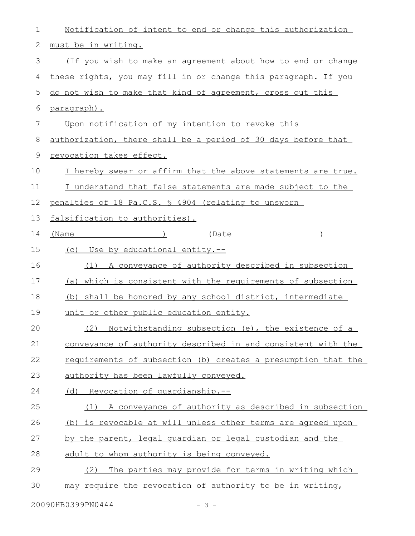| $\mathbf 1$  | <u>Notification of intent to end or change this authorization</u> |
|--------------|-------------------------------------------------------------------|
| $\mathbf{2}$ | must be in writing.                                               |
| 3            | (If you wish to make an agreement about how to end or change      |
| 4            | these rights, you may fill in or change this paragraph. If you    |
| 5            | do not wish to make that kind of agreement, cross out this        |
| 6            | <u>paragraph).</u>                                                |
| 7            | Upon notification of my intention to revoke this                  |
| 8            | authorization, there shall be a period of 30 days before that     |
| 9            | revocation takes effect.                                          |
| 10           | I hereby swear or affirm that the above statements are true.      |
| 11           | I understand that false statements are made subject to the        |
| 12           | penalties of 18 Pa.C.S. § 4904 (relating to unsworn               |
| 13           | falsification to authorities).                                    |
| 14           | $(Name$ )<br>(Date 1990)                                          |
| 15           | (c) Use by educational entity.--                                  |
| 16           | (1) A conveyance of authority described in subsection             |
| 17           | (a) which is consistent with the requirements of subsection       |
| 18           | (b) shall be honored by any school district, intermediate         |
| 19           | unit or other public education entity.                            |
| 20           | (2) Notwithstanding subsection (e), the existence of a            |
| 21           | conveyance of authority described in and consistent with the      |
| 22           | requirements of subsection (b) creates a presumption that the     |
| 23           | authority has been lawfully conveyed.                             |
| 24           | (d) Revocation of quardianship.--                                 |
| 25           | (1) A conveyance of authority as described in subsection          |
| 26           | (b) is revocable at will unless other terms are agreed upon       |
| 27           | by the parent, legal quardian or legal custodian and the          |
| 28           | adult to whom authority is being conveyed.                        |
| 29           | The parties may provide for terms in writing which<br>(2)         |
| 30           | may require the revocation of authority to be in writing,         |
|              |                                                                   |